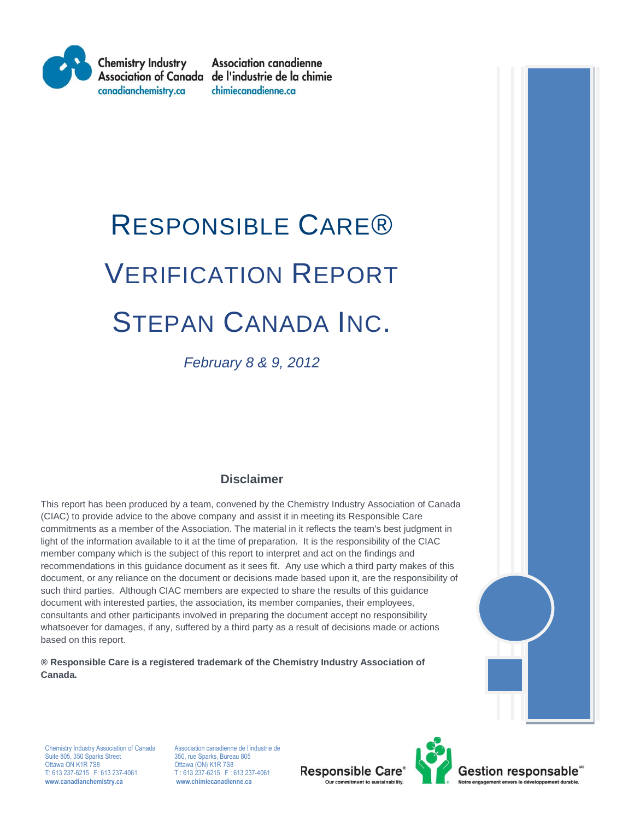

**Association canadienne** Association of Canada de l'industrie de la chimie chimiecanadienne.ca

# RESPONSIBLE CARE® VERIFICATION REPORT STEPAN CANADA INC.

*February 8 & 9, 2012*

### **Disclaimer**

This report has been produced by a team, convened by the Chemistry Industry Association of Canada (CIAC) to provide advice to the above company and assist it in meeting its Responsible Care commitments as a member of the Association. The material in it reflects the team's best judgment in light of the information available to it at the time of preparation. It is the responsibility of the CIAC member company which is the subject of this report to interpret and act on the findings and recommendations in this guidance document as it sees fit. Any use which a third party makes of this document, or any reliance on the document or decisions made based upon it, are the responsibility of such third parties. Although CIAC members are expected to share the results of this guidance document with interested parties, the association, its member companies, their employees, consultants and other participants involved in preparing the document accept no responsibility whatsoever for damages, if any, suffered by a third party as a result of decisions made or actions based on this report.

**® Responsible Care is a registered trademark of the Chemistry Industry Association of Canada.**



Chemistry Industry Association of Canada Association canadienne de l'industrie de<br>
Suite 805, 350 Sparks Street<br>
350, rue Sparks, Bureau 805 Suite 805, 350 Sparks Street 350, rue Sparks, Bureau 805<br>
Ottawa ON K1R 7S8 350, rue Sparks, Bureau 805 Ottawa ON K1R 7S8 CHE CHE CHE CON K1R 7S8<br>T: 613 237-6215 F: 613 237-4061 T: 613 237-6215 F: 6 **www.canadianchemistry.ca www.chimiecanadienne.ca**

T: 613 237-6215 F: 613 237-4061<br>www.chimiecanadienne.ca

**Responsible Care®** 



Gestion responsable<sup>-</sup>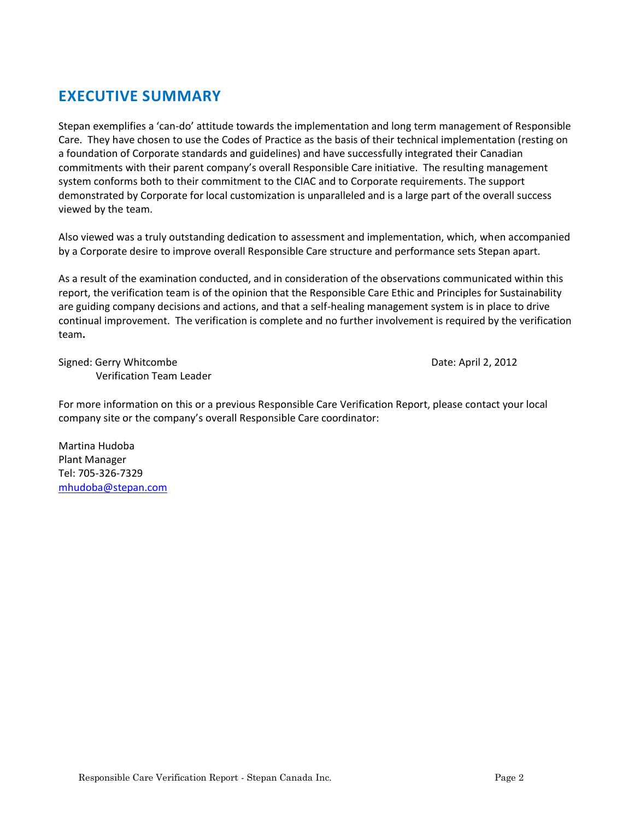# **EXECUTIVE SUMMARY**

Stepan exemplifies a 'can-do' attitude towards the implementation and long term management of Responsible Care. They have chosen to use the Codes of Practice as the basis of their technical implementation (resting on a foundation of Corporate standards and guidelines) and have successfully integrated their Canadian commitments with their parent company's overall Responsible Care initiative. The resulting management system conforms both to their commitment to the CIAC and to Corporate requirements. The support demonstrated by Corporate for local customization is unparalleled and is a large part of the overall success viewed by the team.

Also viewed was a truly outstanding dedication to assessment and implementation, which, when accompanied by a Corporate desire to improve overall Responsible Care structure and performance sets Stepan apart.

As a result of the examination conducted, and in consideration of the observations communicated within this report, the verification team is of the opinion that the Responsible Care Ethic and Principles for Sustainability are guiding company decisions and actions, and that a self-healing management system is in place to drive continual improvement. The verification is complete and no further involvement is required by the verification team**.**

Signed: Gerry Whitcombe **Date: April 2, 2012** Verification Team Leader

For more information on this or a previous Responsible Care Verification Report, please contact your local company site or the company's overall Responsible Care coordinator:

Martina Hudoba Plant Manager Tel: 705-326-7329 [mhudoba@stepan.com](mailto:mhudoba@stepan.com)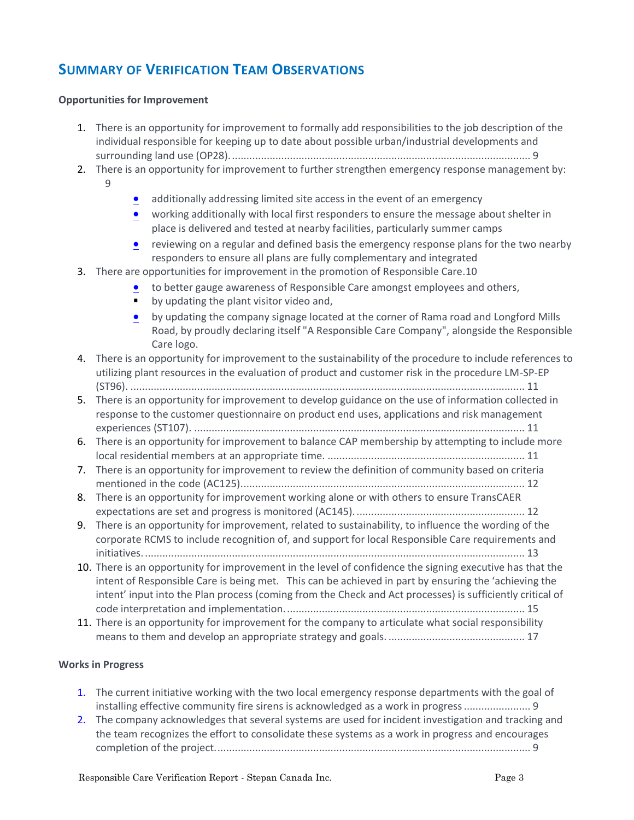## **SUMMARY OF VERIFICATION TEAM OBSERVATIONS**

#### **Opportunities for Improvement**

- 1. [There is an opportunity for improvement to formally add responsibilities to the job description of the](#page-8-0)  [individual responsible for keeping up to date about possible urban/industrial developments and](#page-8-0)  [surrounding land use \(OP28\)........................................................................................................](#page-8-0) 9
- 2. [There is an opportunity for improvement to further strengthen emergency response management by:](#page-8-1)
	- [9](#page-8-1)
- [additionally addressing limited site access in the event of an emergency](#page-8-2)
- **•** working additionally with local first responders to ensure the message about shelter in [place is delivered and tested at nearby facilities, particularly summer camps](#page-8-3)
- [reviewing on a regular and defined basis the emergency response plans for the two nearby](#page-8-4)  [responders to ensure all plans are fully complementary and integrated](#page-8-4)
- 3. [There are opportunities for improvement in the promotion of Responsible Care.10](#page-9-0)
	- [to better gauge awareness of Responsible Care amongst employees and others,](#page-9-1)
		- [by updating the plant visitor video and,](#page-9-2)
		- [by updating the company signage located at the corner of Rama road and Longford Mills](#page-9-3)  [Road, by proudly declaring itself "A Responsible Care Company", alongside the Responsible](#page-9-3)  [Care logo.](#page-9-3)
- 4. [There is an opportunity for improvement to the sustainability of the procedure to include references to](#page-10-0)  [utilizing plant resources in the evaluation of product and customer risk in the procedure LM-SP-EP](#page-10-0)  (ST96). [........................................................................................................................................](#page-10-0) 11
- 5. [There is an opportunity for improvement to develop guidance on the use of information collected in](#page-10-1)  [response to the customer questionnaire on product end uses, applications and risk management](#page-10-1)  experiences (ST107). [..................................................................................................................](#page-10-1) 11
- 6. [There is an opportunity for improvement to balance CAP membership by attempting to include more](#page-10-2)  [local residential members at an appropriate time.](#page-10-2) .................................................................... 11
- 7. [There is an opportunity for improvement to review the definition of community based on criteria](#page-11-0)  [mentioned in the code \(AC125\)..................................................................................................](#page-11-0) 12
- 8. [There is an opportunity for improvement working alone or with others to ensure TransCAER](#page-11-1)  [expectations are set and progress is monitored \(AC145\)...........................................................](#page-11-1) 12
- 9. [There is an opportunity for improvement, related to sustainability, to influence the wording of the](#page-12-0)  [corporate RCMS to include recognition of, and support for local Responsible Care requirements and](#page-12-0)  [initiatives....................................................................................................................................](#page-12-0) 13
- 10. [There is an opportunity for improvement in the level of confidence the signing executive has that the](#page-14-0)  [intent of Responsible Care is being met. This can be achieved in part by ensuring the 'achieving the](#page-14-0)  [intent' input into the Plan process \(coming from the Check and Act processes\) is sufficiently critical of](#page-14-0)  code [interpretation and implementation...................................................................................](#page-14-0) 15
- 11. There is an opportunity for improvement for the company to articulate what social responsibility [means to them and develop an appropriate strategy and goals.](#page-16-0) ............................................... 17

#### **Works in Progress**

- 1. [The current initiative working with the two local emergency response departments with the goal of](#page-8-5)  [installing effective community fire sirens is acknowledged as a work in progress.......................](#page-8-5) 9
- 2. [The company acknowledges that several systems are used for incident investigation and tracking and](#page-8-6)  [the team recognizes the effort to consolidate these systems as a work in progress and encourages](#page-8-6)  [completion of the project.............................................................................................................](#page-8-6) 9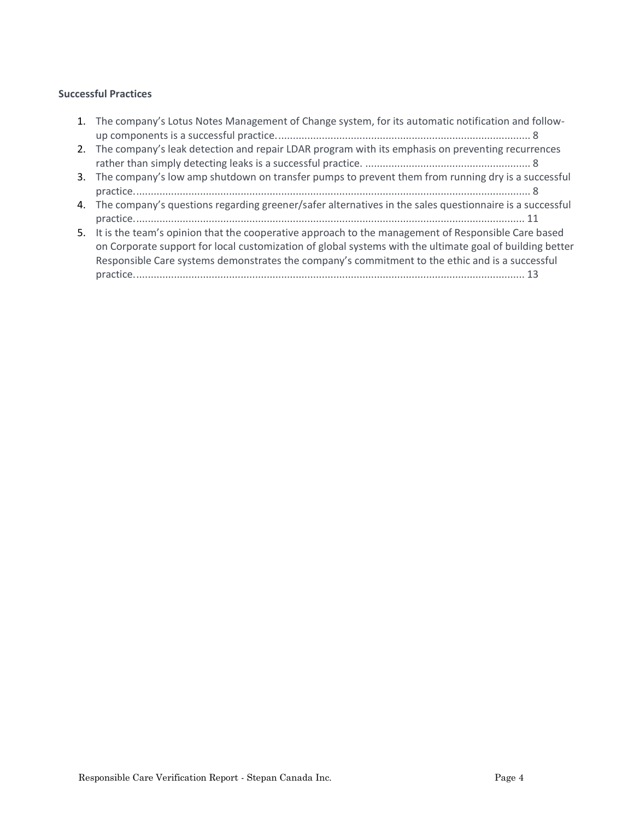#### **Successful Practices**

| 1. The company's Lotus Notes Management of Change system, for its automatic notification and follow-                                                                                                                                                                                                                 |
|----------------------------------------------------------------------------------------------------------------------------------------------------------------------------------------------------------------------------------------------------------------------------------------------------------------------|
| 2. The company's leak detection and repair LDAR program with its emphasis on preventing recurrences                                                                                                                                                                                                                  |
| 3. The company's low amp shutdown on transfer pumps to prevent them from running dry is a successful                                                                                                                                                                                                                 |
| 4. The company's questions regarding greener/safer alternatives in the sales questionnaire is a successful                                                                                                                                                                                                           |
| 5. It is the team's opinion that the cooperative approach to the management of Responsible Care based<br>on Corporate support for local customization of global systems with the ultimate goal of building better<br>Responsible Care systems demonstrates the company's commitment to the ethic and is a successful |
|                                                                                                                                                                                                                                                                                                                      |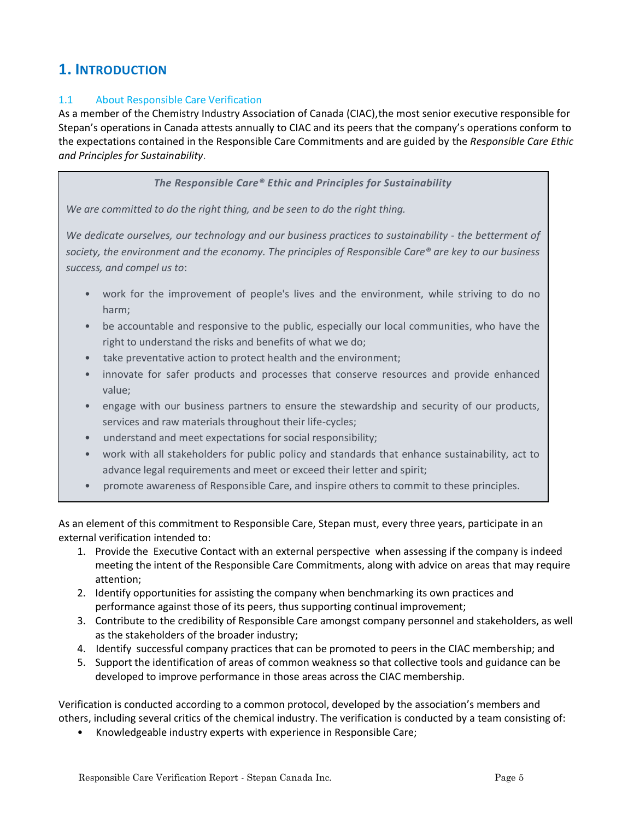## **1. INTRODUCTION**

#### 1.1 About Responsible Care Verification

As a member of the Chemistry Industry Association of Canada (CIAC),the most senior executive responsible for Stepan's operations in Canada attests annually to CIAC and its peers that the company's operations conform to the expectations contained in the Responsible Care Commitments and are guided by the *Responsible Care Ethic and Principles for Sustainability*.

*The Responsible Care® Ethic and Principles for Sustainability*

*We are committed to do the right thing, and be seen to do the right thing.*

*We dedicate ourselves, our technology and our business practices to sustainability - the betterment of society, the environment and the economy. The principles of Responsible Care® are key to our business success, and compel us to*:

- work for the improvement of people's lives and the environment, while striving to do no harm;
- be accountable and responsive to the public, especially our local communities, who have the right to understand the risks and benefits of what we do;
- take preventative action to protect health and the environment;
- innovate for safer products and processes that conserve resources and provide enhanced value;
- engage with our business partners to ensure the stewardship and security of our products, services and raw materials throughout their life-cycles;
- understand and meet expectations for social responsibility;
- work with all stakeholders for public policy and standards that enhance sustainability, act to advance legal requirements and meet or exceed their letter and spirit;
- promote awareness of Responsible Care, and inspire others to commit to these principles.

As an element of this commitment to Responsible Care, Stepan must, every three years, participate in an external verification intended to:

- 1. Provide the Executive Contact with an external perspective when assessing if the company is indeed meeting the intent of the Responsible Care Commitments, along with advice on areas that may require attention;
- 2. Identify opportunities for assisting the company when benchmarking its own practices and performance against those of its peers, thus supporting continual improvement;
- 3. Contribute to the credibility of Responsible Care amongst company personnel and stakeholders, as well as the stakeholders of the broader industry;
- 4. Identify successful company practices that can be promoted to peers in the CIAC membership; and
- 5. Support the identification of areas of common weakness so that collective tools and guidance can be developed to improve performance in those areas across the CIAC membership.

Verification is conducted according to a common protocol, developed by the association's members and others, including several critics of the chemical industry. The verification is conducted by a team consisting of:

• Knowledgeable industry experts with experience in Responsible Care;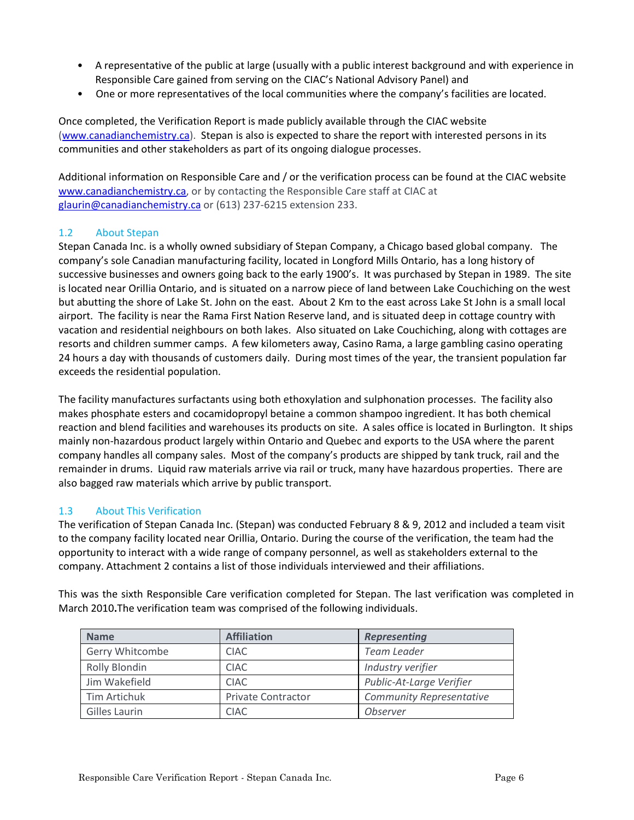- A representative of the public at large (usually with a public interest background and with experience in Responsible Care gained from serving on the CIAC's National Advisory Panel) and
- One or more representatives of the local communities where the company's facilities are located.

Once completed, the Verification Report is made publicly available through the CIAC website [\(www.canadianchemistry.ca\)](http://www.canadianchemistry.ca/). Stepan is also is expected to share the report with interested persons in its communities and other stakeholders as part of its ongoing dialogue processes.

Additional information on Responsible Care and / or the verification process can be found at the CIAC website [www.canadianchemistry.ca,](http://www.canadianchemistry.ca/) or by contacting the Responsible Care staff at CIAC at [glaurin@canadianchemistry.ca](mailto:glaurin@canadianchemistry.ca) or (613) 237-6215 extension 233.

#### 1.2 About Stepan

Stepan Canada Inc. is a wholly owned subsidiary of Stepan Company, a Chicago based global company. The company's sole Canadian manufacturing facility, located in Longford Mills Ontario, has a long history of successive businesses and owners going back to the early 1900's. It was purchased by Stepan in 1989. The site is located near Orillia Ontario, and is situated on a narrow piece of land between Lake Couchiching on the west but abutting the shore of Lake St. John on the east. About 2 Km to the east across Lake St John is a small local airport. The facility is near the Rama First Nation Reserve land, and is situated deep in cottage country with vacation and residential neighbours on both lakes. Also situated on Lake Couchiching, along with cottages are resorts and children summer camps. A few kilometers away, Casino Rama, a large gambling casino operating 24 hours a day with thousands of customers daily. During most times of the year, the transient population far exceeds the residential population.

The facility manufactures surfactants using both ethoxylation and sulphonation processes. The facility also makes phosphate esters and cocamidopropyl betaine a common shampoo ingredient. It has both chemical reaction and blend facilities and warehouses its products on site. A sales office is located in Burlington. It ships mainly non-hazardous product largely within Ontario and Quebec and exports to the USA where the parent company handles all company sales. Most of the company's products are shipped by tank truck, rail and the remainder in drums. Liquid raw materials arrive via rail or truck, many have hazardous properties. There are also bagged raw materials which arrive by public transport.

#### 1.3 About This Verification

The verification of Stepan Canada Inc. (Stepan) was conducted February 8 & 9, 2012 and included a team visit to the company facility located near Orillia, Ontario. During the course of the verification, the team had the opportunity to interact with a wide range of company personnel, as well as stakeholders external to the company. Attachment 2 contains a list of those individuals interviewed and their affiliations.

This was the sixth Responsible Care verification completed for Stepan. The last verification was completed in March 2010**.**The verification team was comprised of the following individuals.

| <b>Name</b>          | <b>Affiliation</b>        | <b>Representing</b>             |  |
|----------------------|---------------------------|---------------------------------|--|
| Gerry Whitcombe      | <b>CIAC</b>               | Team Leader                     |  |
| <b>Rolly Blondin</b> | <b>CIAC</b>               | Industry verifier               |  |
| Jim Wakefield        | <b>CIAC</b>               | Public-At-Large Verifier        |  |
| Tim Artichuk         | <b>Private Contractor</b> | <b>Community Representative</b> |  |
| Gilles Laurin        | <b>CIAC</b>               | <b>Observer</b>                 |  |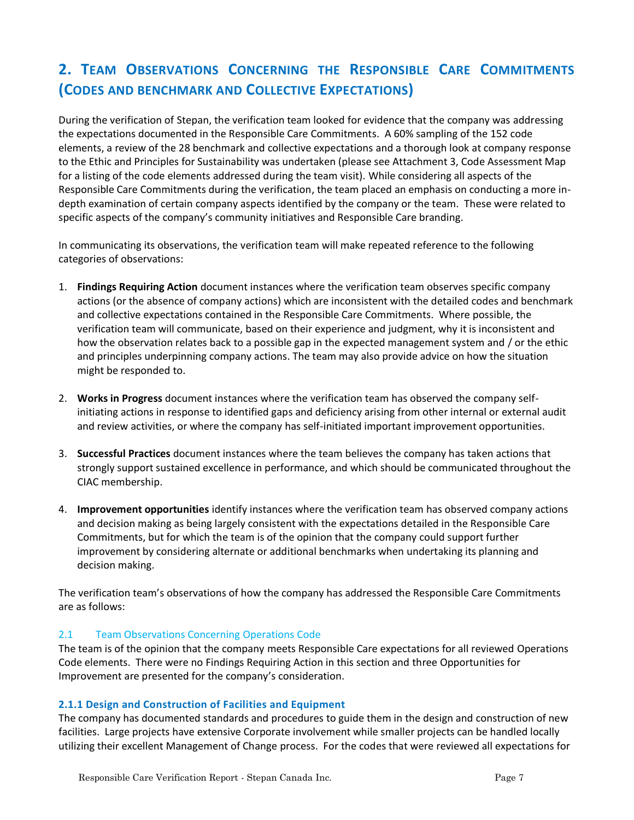# **2. TEAM OBSERVATIONS CONCERNING THE RESPONSIBLE CARE COMMITMENTS (CODES AND BENCHMARK AND COLLECTIVE EXPECTATIONS)**

During the verification of Stepan, the verification team looked for evidence that the company was addressing the expectations documented in the Responsible Care Commitments. A 60% sampling of the 152 code elements, a review of the 28 benchmark and collective expectations and a thorough look at company response to the Ethic and Principles for Sustainability was undertaken (please see Attachment 3, Code Assessment Map for a listing of the code elements addressed during the team visit). While considering all aspects of the Responsible Care Commitments during the verification, the team placed an emphasis on conducting a more indepth examination of certain company aspects identified by the company or the team. These were related to specific aspects of the company's community initiatives and Responsible Care branding.

In communicating its observations, the verification team will make repeated reference to the following categories of observations:

- 1. **Findings Requiring Action** document instances where the verification team observes specific company actions (or the absence of company actions) which are inconsistent with the detailed codes and benchmark and collective expectations contained in the Responsible Care Commitments. Where possible, the verification team will communicate, based on their experience and judgment, why it is inconsistent and how the observation relates back to a possible gap in the expected management system and / or the ethic and principles underpinning company actions. The team may also provide advice on how the situation might be responded to.
- 2. **Works in Progress** document instances where the verification team has observed the company selfinitiating actions in response to identified gaps and deficiency arising from other internal or external audit and review activities, or where the company has self-initiated important improvement opportunities.
- 3. **Successful Practices** document instances where the team believes the company has taken actions that strongly support sustained excellence in performance, and which should be communicated throughout the CIAC membership.
- 4. **Improvement opportunities** identify instances where the verification team has observed company actions and decision making as being largely consistent with the expectations detailed in the Responsible Care Commitments, but for which the team is of the opinion that the company could support further improvement by considering alternate or additional benchmarks when undertaking its planning and decision making.

The verification team's observations of how the company has addressed the Responsible Care Commitments are as follows:

#### 2.1 Team Observations Concerning Operations Code

The team is of the opinion that the company meets Responsible Care expectations for all reviewed Operations Code elements. There were no Findings Requiring Action in this section and three Opportunities for Improvement are presented for the company's consideration.

#### **2.1.1 Design and Construction of Facilities and Equipment**

The company has documented standards and procedures to guide them in the design and construction of new facilities. Large projects have extensive Corporate involvement while smaller projects can be handled locally utilizing their excellent Management of Change process. For the codes that were reviewed all expectations for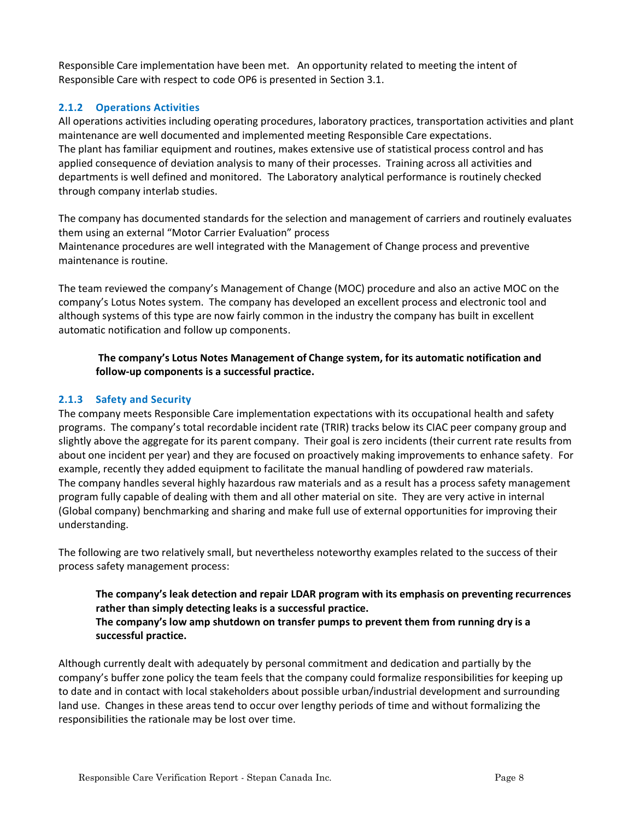Responsible Care implementation have been met. An opportunity related to meeting the intent of Responsible Care with respect to code OP6 is presented in Section 3.1.

#### **2.1.2 Operations Activities**

All operations activities including operating procedures, laboratory practices, transportation activities and plant maintenance are well documented and implemented meeting Responsible Care expectations. The plant has familiar equipment and routines, makes extensive use of statistical process control and has applied consequence of deviation analysis to many of their processes. Training across all activities and departments is well defined and monitored. The Laboratory analytical performance is routinely checked through company interlab studies.

The company has documented standards for the selection and management of carriers and routinely evaluates them using an external "Motor Carrier Evaluation" process Maintenance procedures are well integrated with the Management of Change process and preventive maintenance is routine.

The team reviewed the company's Management of Change (MOC) procedure and also an active MOC on the company's Lotus Notes system. The company has developed an excellent process and electronic tool and although systems of this type are now fairly common in the industry the company has built in excellent automatic notification and follow up components.

#### <span id="page-7-0"></span>**The company's Lotus Notes Management of Change system, for its automatic notification and follow-up components is a successful practice.**

#### **2.1.3 Safety and Security**

The company meets Responsible Care implementation expectations with its occupational health and safety programs. The company's total recordable incident rate (TRIR) tracks below its CIAC peer company group and slightly above the aggregate for its parent company. Their goal is zero incidents (their current rate results from about one incident per year) and they are focused on proactively making improvements to enhance safety. For example, recently they added equipment to facilitate the manual handling of powdered raw materials. The company handles several highly hazardous raw materials and as a result has a process safety management program fully capable of dealing with them and all other material on site. They are very active in internal (Global company) benchmarking and sharing and make full use of external opportunities for improving their understanding.

<span id="page-7-1"></span>The following are two relatively small, but nevertheless noteworthy examples related to the success of their process safety management process:

#### **The company's leak detection and repair LDAR program with its emphasis on preventing recurrences rather than simply detecting leaks is a successful practice. The company's low amp shutdown on transfer pumps to prevent them from running dry is a successful practice.**

<span id="page-7-2"></span>Although currently dealt with adequately by personal commitment and dedication and partially by the company's buffer zone policy the team feels that the company could formalize responsibilities for keeping up to date and in contact with local stakeholders about possible urban/industrial development and surrounding land use. Changes in these areas tend to occur over lengthy periods of time and without formalizing the responsibilities the rationale may be lost over time.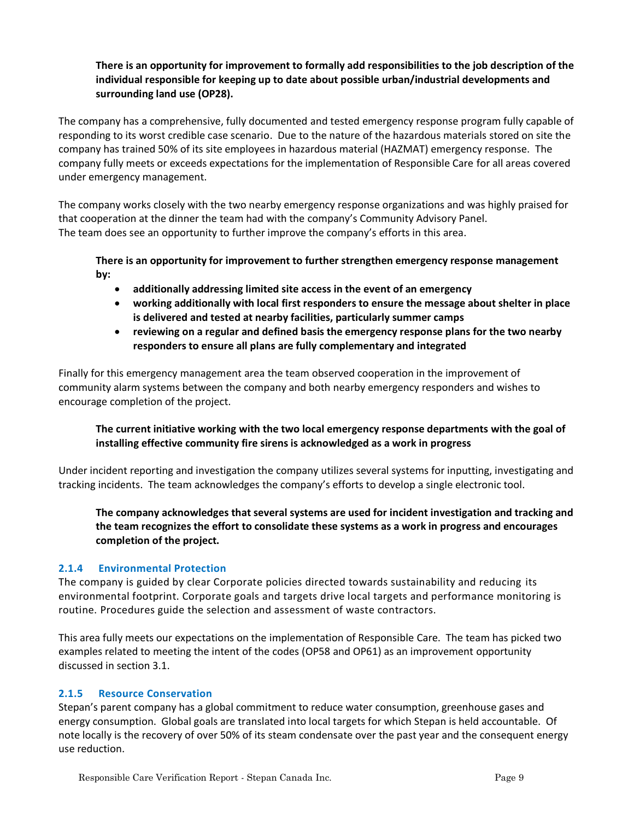#### <span id="page-8-0"></span>**There is an opportunity for improvement to formally add responsibilities to the job description of the individual responsible for keeping up to date about possible urban/industrial developments and surrounding land use (OP28).**

The company has a comprehensive, fully documented and tested emergency response program fully capable of responding to its worst credible case scenario. Due to the nature of the hazardous materials stored on site the company has trained 50% of its site employees in hazardous material (HAZMAT) emergency response. The company fully meets or exceeds expectations for the implementation of Responsible Care for all areas covered under emergency management.

The company works closely with the two nearby emergency response organizations and was highly praised for that cooperation at the dinner the team had with the company's Community Advisory Panel. The team does see an opportunity to further improve the company's efforts in this area.

<span id="page-8-3"></span><span id="page-8-2"></span><span id="page-8-1"></span>**There is an opportunity for improvement to further strengthen emergency response management by:**

- **additionally addressing limited site access in the event of an emergency**
- **working additionally with local first responders to ensure the message about shelter in place is delivered and tested at nearby facilities, particularly summer camps**
- **reviewing on a regular and defined basis the emergency response plans for the two nearby responders to ensure all plans are fully complementary and integrated**

<span id="page-8-4"></span>Finally for this emergency management area the team observed cooperation in the improvement of community alarm systems between the company and both nearby emergency responders and wishes to encourage completion of the project.

#### <span id="page-8-5"></span>**The current initiative working with the two local emergency response departments with the goal of installing effective community fire sirens is acknowledged as a work in progress**

Under incident reporting and investigation the company utilizes several systems for inputting, investigating and tracking incidents. The team acknowledges the company's efforts to develop a single electronic tool.

#### <span id="page-8-6"></span>**The company acknowledges that several systems are used for incident investigation and tracking and the team recognizes the effort to consolidate these systems as a work in progress and encourages completion of the project.**

#### **2.1.4 Environmental Protection**

The company is guided by clear Corporate policies directed towards sustainability and reducing its environmental footprint. Corporate goals and targets drive local targets and performance monitoring is routine. Procedures guide the selection and assessment of waste contractors.

This area fully meets our expectations on the implementation of Responsible Care. The team has picked two examples related to meeting the intent of the codes (OP58 and OP61) as an improvement opportunity discussed in section 3.1.

#### **2.1.5 Resource Conservation**

Stepan's parent company has a global commitment to reduce water consumption, greenhouse gases and energy consumption. Global goals are translated into local targets for which Stepan is held accountable. Of note locally is the recovery of over 50% of its steam condensate over the past year and the consequent energy use reduction.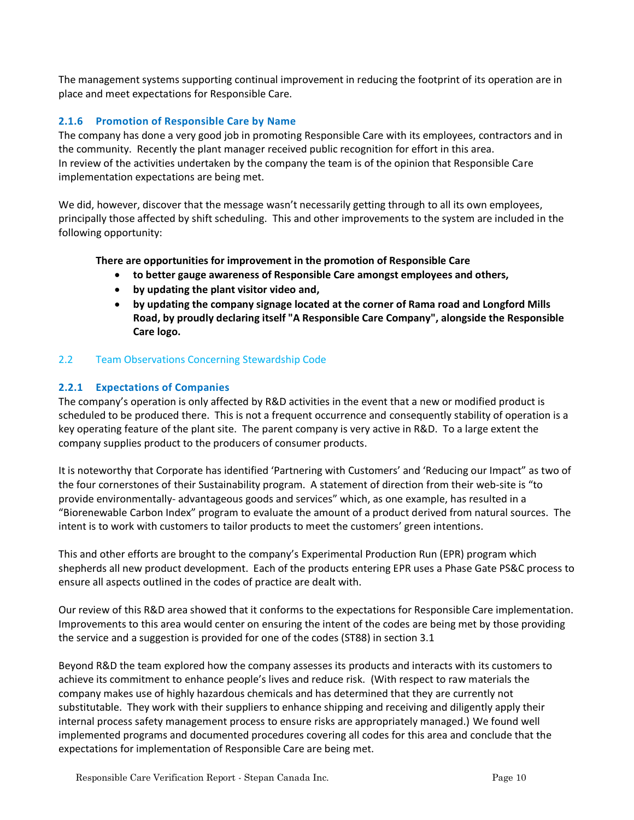The management systems supporting continual improvement in reducing the footprint of its operation are in place and meet expectations for Responsible Care.

#### **2.1.6 Promotion of Responsible Care by Name**

The company has done a very good job in promoting Responsible Care with its employees, contractors and in the community. Recently the plant manager received public recognition for effort in this area. In review of the activities undertaken by the company the team is of the opinion that Responsible Care implementation expectations are being met.

We did, however, discover that the message wasn't necessarily getting through to all its own employees, principally those affected by shift scheduling. This and other improvements to the system are included in the following opportunity:

#### <span id="page-9-2"></span><span id="page-9-1"></span><span id="page-9-0"></span>**There are opportunities for improvement in the promotion of Responsible Care**

- **to better gauge awareness of Responsible Care amongst employees and others,**
- **by updating the plant visitor video and,**
- **by updating the company signage located at the corner of Rama road and Longford Mills Road, by proudly declaring itself "A Responsible Care Company", alongside the Responsible Care logo.**

#### <span id="page-9-3"></span>2.2 Team Observations Concerning Stewardship Code

#### **2.2.1 Expectations of Companies**

The company's operation is only affected by R&D activities in the event that a new or modified product is scheduled to be produced there. This is not a frequent occurrence and consequently stability of operation is a key operating feature of the plant site. The parent company is very active in R&D. To a large extent the company supplies product to the producers of consumer products.

It is noteworthy that Corporate has identified 'Partnering with Customers' and 'Reducing our Impact" as two of the four cornerstones of their Sustainability program. A statement of direction from their web-site is "to provide environmentally- advantageous goods and services" which, as one example, has resulted in a "Biorenewable Carbon Index" program to evaluate the amount of a product derived from natural sources. The intent is to work with customers to tailor products to meet the customers' green intentions.

This and other efforts are brought to the company's Experimental Production Run (EPR) program which shepherds all new product development. Each of the products entering EPR uses a Phase Gate PS&C process to ensure all aspects outlined in the codes of practice are dealt with.

Our review of this R&D area showed that it conforms to the expectations for Responsible Care implementation. Improvements to this area would center on ensuring the intent of the codes are being met by those providing the service and a suggestion is provided for one of the codes (ST88) in section 3.1

Beyond R&D the team explored how the company assesses its products and interacts with its customers to achieve its commitment to enhance people's lives and reduce risk. (With respect to raw materials the company makes use of highly hazardous chemicals and has determined that they are currently not substitutable. They work with their suppliers to enhance shipping and receiving and diligently apply their internal process safety management process to ensure risks are appropriately managed.) We found well implemented programs and documented procedures covering all codes for this area and conclude that the expectations for implementation of Responsible Care are being met.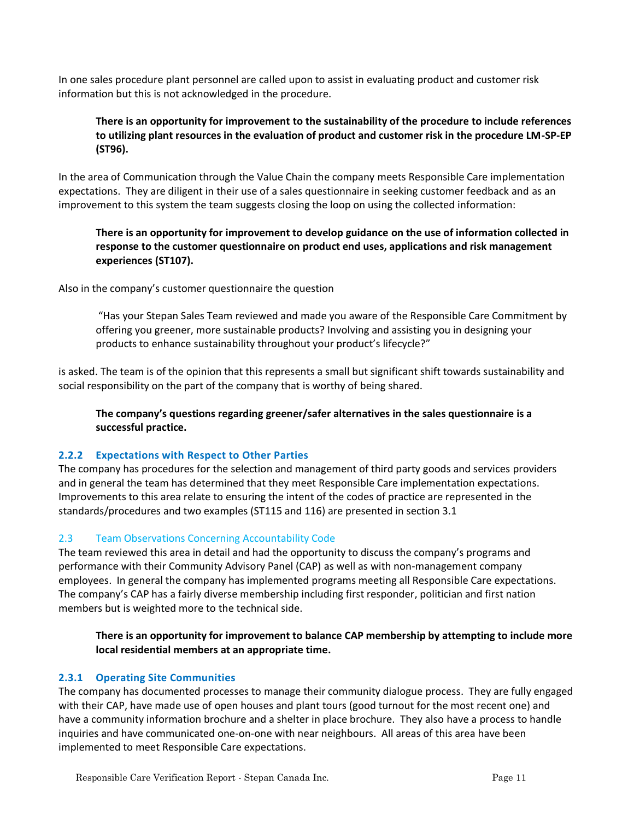In one sales procedure plant personnel are called upon to assist in evaluating product and customer risk information but this is not acknowledged in the procedure.

#### <span id="page-10-0"></span>**There is an opportunity for improvement to the sustainability of the procedure to include references to utilizing plant resources in the evaluation of product and customer risk in the procedure LM-SP-EP (ST96).**

In the area of Communication through the Value Chain the company meets Responsible Care implementation expectations. They are diligent in their use of a sales questionnaire in seeking customer feedback and as an improvement to this system the team suggests closing the loop on using the collected information:

#### <span id="page-10-1"></span>**There is an opportunity for improvement to develop guidance on the use of information collected in response to the customer questionnaire on product end uses, applications and risk management experiences (ST107).**

Also in the company's customer questionnaire the question

"Has your Stepan Sales Team reviewed and made you aware of the Responsible Care Commitment by offering you greener, more sustainable products? Involving and assisting you in designing your products to enhance sustainability throughout your product's lifecycle?"

is asked. The team is of the opinion that this represents a small but significant shift towards sustainability and social responsibility on the part of the company that is worthy of being shared.

<span id="page-10-3"></span>**The company's questions regarding greener/safer alternatives in the sales questionnaire is a successful practice.**

#### **2.2.2 Expectations with Respect to Other Parties**

The company has procedures for the selection and management of third party goods and services providers and in general the team has determined that they meet Responsible Care implementation expectations. Improvements to this area relate to ensuring the intent of the codes of practice are represented in the standards/procedures and two examples (ST115 and 116) are presented in section 3.1

#### 2.3 Team Observations Concerning Accountability Code

The team reviewed this area in detail and had the opportunity to discuss the company's programs and performance with their Community Advisory Panel (CAP) as well as with non-management company employees. In general the company has implemented programs meeting all Responsible Care expectations. The company's CAP has a fairly diverse membership including first responder, politician and first nation members but is weighted more to the technical side.

<span id="page-10-2"></span>**There is an opportunity for improvement to balance CAP membership by attempting to include more local residential members at an appropriate time.**

#### **2.3.1 Operating Site Communities**

The company has documented processes to manage their community dialogue process. They are fully engaged with their CAP, have made use of open houses and plant tours (good turnout for the most recent one) and have a community information brochure and a shelter in place brochure. They also have a process to handle inquiries and have communicated one-on-one with near neighbours. All areas of this area have been implemented to meet Responsible Care expectations.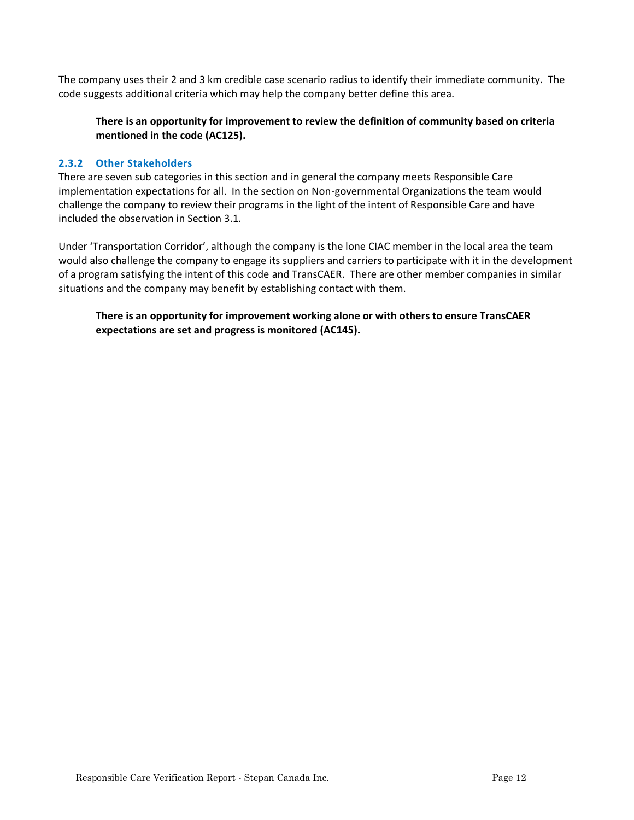The company uses their 2 and 3 km credible case scenario radius to identify their immediate community. The code suggests additional criteria which may help the company better define this area.

#### <span id="page-11-0"></span>**There is an opportunity for improvement to review the definition of community based on criteria mentioned in the code (AC125).**

#### **2.3.2 Other Stakeholders**

There are seven sub categories in this section and in general the company meets Responsible Care implementation expectations for all. In the section on Non-governmental Organizations the team would challenge the company to review their programs in the light of the intent of Responsible Care and have included the observation in Section 3.1.

Under 'Transportation Corridor', although the company is the lone CIAC member in the local area the team would also challenge the company to engage its suppliers and carriers to participate with it in the development of a program satisfying the intent of this code and TransCAER. There are other member companies in similar situations and the company may benefit by establishing contact with them.

<span id="page-11-1"></span>**There is an opportunity for improvement working alone or with others to ensure TransCAER expectations are set and progress is monitored (AC145).**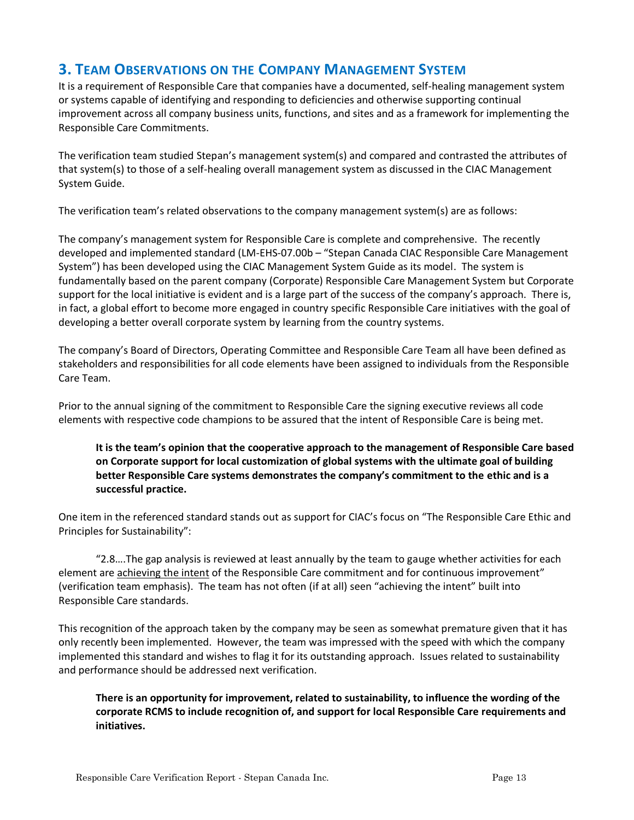## **3. TEAM OBSERVATIONS ON THE COMPANY MANAGEMENT SYSTEM**

It is a requirement of Responsible Care that companies have a documented, self-healing management system or systems capable of identifying and responding to deficiencies and otherwise supporting continual improvement across all company business units, functions, and sites and as a framework for implementing the Responsible Care Commitments.

The verification team studied Stepan's management system(s) and compared and contrasted the attributes of that system(s) to those of a self-healing overall management system as discussed in the CIAC Management System Guide.

The verification team's related observations to the company management system(s) are as follows:

The company's management system for Responsible Care is complete and comprehensive. The recently developed and implemented standard (LM-EHS-07.00b – "Stepan Canada CIAC Responsible Care Management System") has been developed using the CIAC Management System Guide as its model. The system is fundamentally based on the parent company (Corporate) Responsible Care Management System but Corporate support for the local initiative is evident and is a large part of the success of the company's approach. There is, in fact, a global effort to become more engaged in country specific Responsible Care initiatives with the goal of developing a better overall corporate system by learning from the country systems.

The company's Board of Directors, Operating Committee and Responsible Care Team all have been defined as stakeholders and responsibilities for all code elements have been assigned to individuals from the Responsible Care Team.

Prior to the annual signing of the commitment to Responsible Care the signing executive reviews all code elements with respective code champions to be assured that the intent of Responsible Care is being met.

<span id="page-12-1"></span>**It is the team's opinion that the cooperative approach to the management of Responsible Care based on Corporate support for local customization of global systems with the ultimate goal of building better Responsible Care systems demonstrates the company's commitment to the ethic and is a successful practice.** 

One item in the referenced standard stands out as support for CIAC's focus on "The Responsible Care Ethic and Principles for Sustainability":

"2.8….The gap analysis is reviewed at least annually by the team to gauge whether activities for each element are achieving the intent of the Responsible Care commitment and for continuous improvement" (verification team emphasis). The team has not often (if at all) seen "achieving the intent" built into Responsible Care standards.

This recognition of the approach taken by the company may be seen as somewhat premature given that it has only recently been implemented. However, the team was impressed with the speed with which the company implemented this standard and wishes to flag it for its outstanding approach. Issues related to sustainability and performance should be addressed next verification.

<span id="page-12-0"></span>**There is an opportunity for improvement, related to sustainability, to influence the wording of the corporate RCMS to include recognition of, and support for local Responsible Care requirements and initiatives.**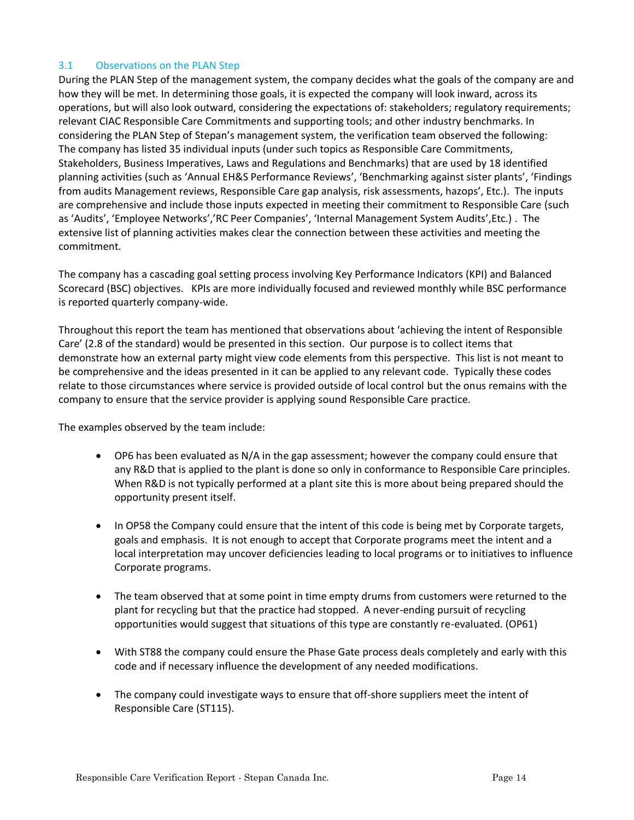#### 3.1 Observations on the PLAN Step

During the PLAN Step of the management system, the company decides what the goals of the company are and how they will be met. In determining those goals, it is expected the company will look inward, across its operations, but will also look outward, considering the expectations of: stakeholders; regulatory requirements; relevant CIAC Responsible Care Commitments and supporting tools; and other industry benchmarks. In considering the PLAN Step of Stepan's management system, the verification team observed the following: The company has listed 35 individual inputs (under such topics as Responsible Care Commitments, Stakeholders, Business Imperatives, Laws and Regulations and Benchmarks) that are used by 18 identified planning activities (such as 'Annual EH&S Performance Reviews', 'Benchmarking against sister plants', 'Findings from audits Management reviews, Responsible Care gap analysis, risk assessments, hazops', Etc.). The inputs are comprehensive and include those inputs expected in meeting their commitment to Responsible Care (such as 'Audits', 'Employee Networks','RC Peer Companies', 'Internal Management System Audits',Etc.) . The extensive list of planning activities makes clear the connection between these activities and meeting the commitment.

The company has a cascading goal setting process involving Key Performance Indicators (KPI) and Balanced Scorecard (BSC) objectives. KPIs are more individually focused and reviewed monthly while BSC performance is reported quarterly company-wide.

Throughout this report the team has mentioned that observations about 'achieving the intent of Responsible Care' (2.8 of the standard) would be presented in this section. Our purpose is to collect items that demonstrate how an external party might view code elements from this perspective. This list is not meant to be comprehensive and the ideas presented in it can be applied to any relevant code. Typically these codes relate to those circumstances where service is provided outside of local control but the onus remains with the company to ensure that the service provider is applying sound Responsible Care practice.

The examples observed by the team include:

- OP6 has been evaluated as N/A in the gap assessment; however the company could ensure that any R&D that is applied to the plant is done so only in conformance to Responsible Care principles. When R&D is not typically performed at a plant site this is more about being prepared should the opportunity present itself.
- In OP58 the Company could ensure that the intent of this code is being met by Corporate targets, goals and emphasis. It is not enough to accept that Corporate programs meet the intent and a local interpretation may uncover deficiencies leading to local programs or to initiatives to influence Corporate programs.
- The team observed that at some point in time empty drums from customers were returned to the plant for recycling but that the practice had stopped. A never-ending pursuit of recycling opportunities would suggest that situations of this type are constantly re-evaluated. (OP61)
- With ST88 the company could ensure the Phase Gate process deals completely and early with this code and if necessary influence the development of any needed modifications.
- The company could investigate ways to ensure that off-shore suppliers meet the intent of Responsible Care (ST115).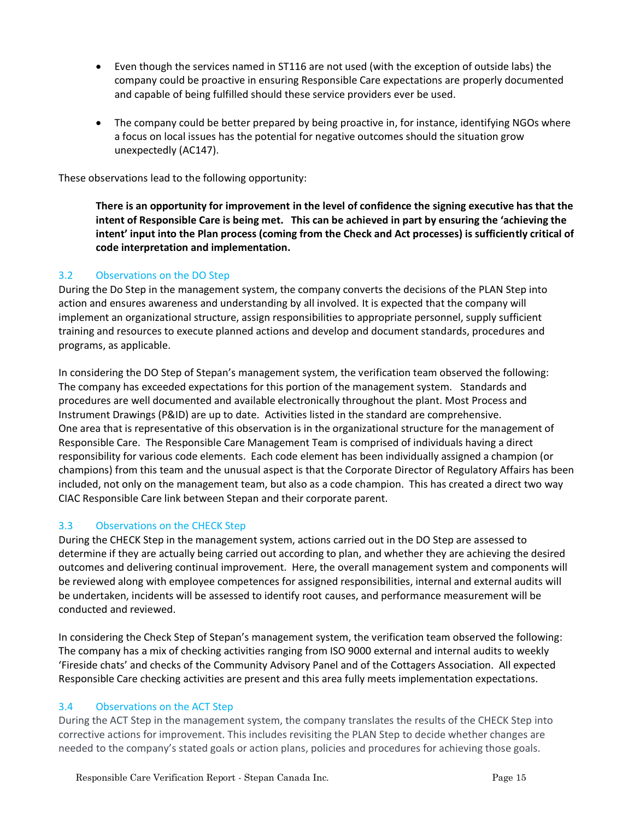- Even though the services named in ST116 are not used (with the exception of outside labs) the company could be proactive in ensuring Responsible Care expectations are properly documented and capable of being fulfilled should these service providers ever be used.
- The company could be better prepared by being proactive in, for instance, identifying NGOs where a focus on local issues has the potential for negative outcomes should the situation grow unexpectedly (AC147).

<span id="page-14-0"></span>These observations lead to the following opportunity:

**There is an opportunity for improvement in the level of confidence the signing executive has that the intent of Responsible Care is being met. This can be achieved in part by ensuring the 'achieving the intent' input into the Plan process (coming from the Check and Act processes) is sufficiently critical of code interpretation and implementation.**

#### 3.2 Observations on the DO Step

During the Do Step in the management system, the company converts the decisions of the PLAN Step into action and ensures awareness and understanding by all involved. It is expected that the company will implement an organizational structure, assign responsibilities to appropriate personnel, supply sufficient training and resources to execute planned actions and develop and document standards, procedures and programs, as applicable.

In considering the DO Step of Stepan's management system, the verification team observed the following: The company has exceeded expectations for this portion of the management system. Standards and procedures are well documented and available electronically throughout the plant. Most Process and Instrument Drawings (P&ID) are up to date. Activities listed in the standard are comprehensive. One area that is representative of this observation is in the organizational structure for the management of Responsible Care. The Responsible Care Management Team is comprised of individuals having a direct responsibility for various code elements. Each code element has been individually assigned a champion (or champions) from this team and the unusual aspect is that the Corporate Director of Regulatory Affairs has been included, not only on the management team, but also as a code champion. This has created a direct two way CIAC Responsible Care link between Stepan and their corporate parent.

#### 3.3 Observations on the CHECK Step

During the CHECK Step in the management system, actions carried out in the DO Step are assessed to determine if they are actually being carried out according to plan, and whether they are achieving the desired outcomes and delivering continual improvement. Here, the overall management system and components will be reviewed along with employee competences for assigned responsibilities, internal and external audits will be undertaken, incidents will be assessed to identify root causes, and performance measurement will be conducted and reviewed.

In considering the Check Step of Stepan's management system, the verification team observed the following: The company has a mix of checking activities ranging from ISO 9000 external and internal audits to weekly 'Fireside chats' and checks of the Community Advisory Panel and of the Cottagers Association. All expected Responsible Care checking activities are present and this area fully meets implementation expectations.

#### 3.4 Observations on the ACT Step

During the ACT Step in the management system, the company translates the results of the CHECK Step into corrective actions for improvement. This includes revisiting the PLAN Step to decide whether changes are needed to the company's stated goals or action plans, policies and procedures for achieving those goals.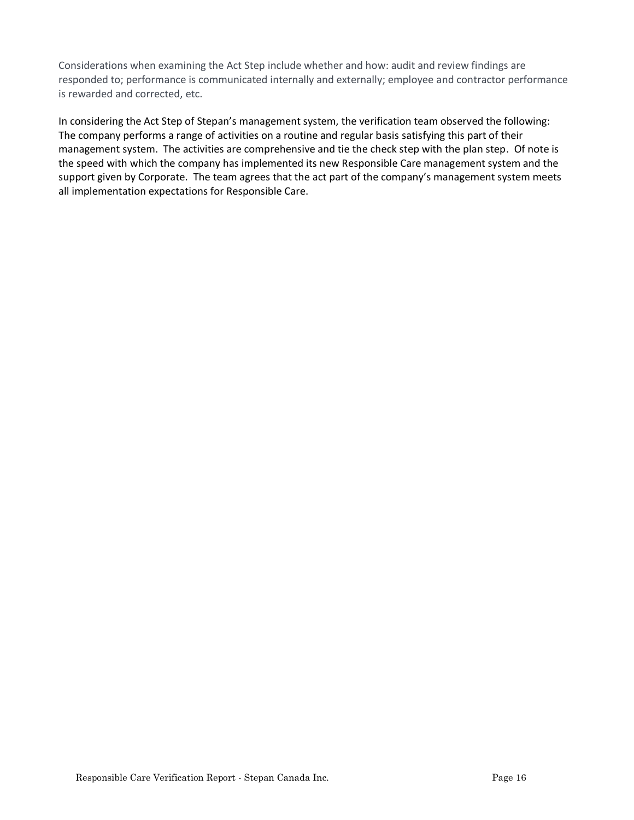Considerations when examining the Act Step include whether and how: audit and review findings are responded to; performance is communicated internally and externally; employee and contractor performance is rewarded and corrected, etc.

In considering the Act Step of Stepan's management system, the verification team observed the following: The company performs a range of activities on a routine and regular basis satisfying this part of their management system. The activities are comprehensive and tie the check step with the plan step. Of note is the speed with which the company has implemented its new Responsible Care management system and the support given by Corporate. The team agrees that the act part of the company's management system meets all implementation expectations for Responsible Care.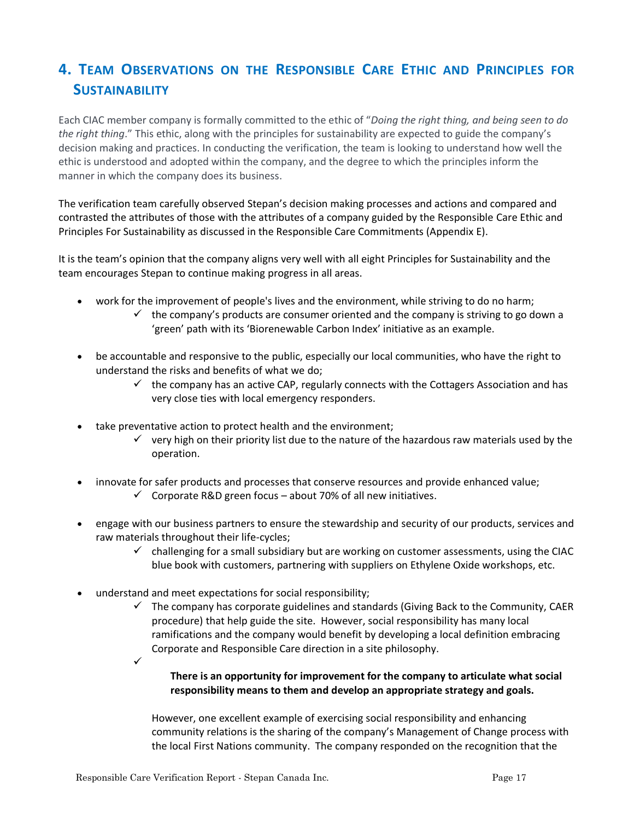# **4. TEAM OBSERVATIONS ON THE RESPONSIBLE CARE ETHIC AND PRINCIPLES FOR SUSTAINABILITY**

Each CIAC member company is formally committed to the ethic of "*Doing the right thing, and being seen to do the right thing*." This ethic, along with the principles for sustainability are expected to guide the company's decision making and practices. In conducting the verification, the team is looking to understand how well the ethic is understood and adopted within the company, and the degree to which the principles inform the manner in which the company does its business.

The verification team carefully observed Stepan's decision making processes and actions and compared and contrasted the attributes of those with the attributes of a company guided by the Responsible Care Ethic and Principles For Sustainability as discussed in the Responsible Care Commitments (Appendix E).

It is the team's opinion that the company aligns very well with all eight Principles for Sustainability and the team encourages Stepan to continue making progress in all areas.

- work for the improvement of people's lives and the environment, while striving to do no harm;
	- $\checkmark$  the company's products are consumer oriented and the company is striving to go down a 'green' path with its 'Biorenewable Carbon Index' initiative as an example.
- be accountable and responsive to the public, especially our local communities, who have the right to understand the risks and benefits of what we do;
	- $\checkmark$  the company has an active CAP, regularly connects with the Cottagers Association and has very close ties with local emergency responders.
- take preventative action to protect health and the environment;
	- $\checkmark$  very high on their priority list due to the nature of the hazardous raw materials used by the operation.
- innovate for safer products and processes that conserve resources and provide enhanced value;
	- $\checkmark$  Corporate R&D green focus about 70% of all new initiatives.
- engage with our business partners to ensure the stewardship and security of our products, services and raw materials throughout their life-cycles;
	- $\checkmark$  challenging for a small subsidiary but are working on customer assessments, using the CIAC blue book with customers, partnering with suppliers on Ethylene Oxide workshops, etc.
- <span id="page-16-0"></span>• understand and meet expectations for social responsibility;
	- $\checkmark$  The company has corporate guidelines and standards (Giving Back to the Community, CAER procedure) that help guide the site. However, social responsibility has many local ramifications and the company would benefit by developing a local definition embracing Corporate and Responsible Care direction in a site philosophy.
	- ✓

#### **There is an opportunity for improvement for the company to articulate what social responsibility means to them and develop an appropriate strategy and goals.**

However, one excellent example of exercising social responsibility and enhancing community relations is the sharing of the company's Management of Change process with the local First Nations community. The company responded on the recognition that the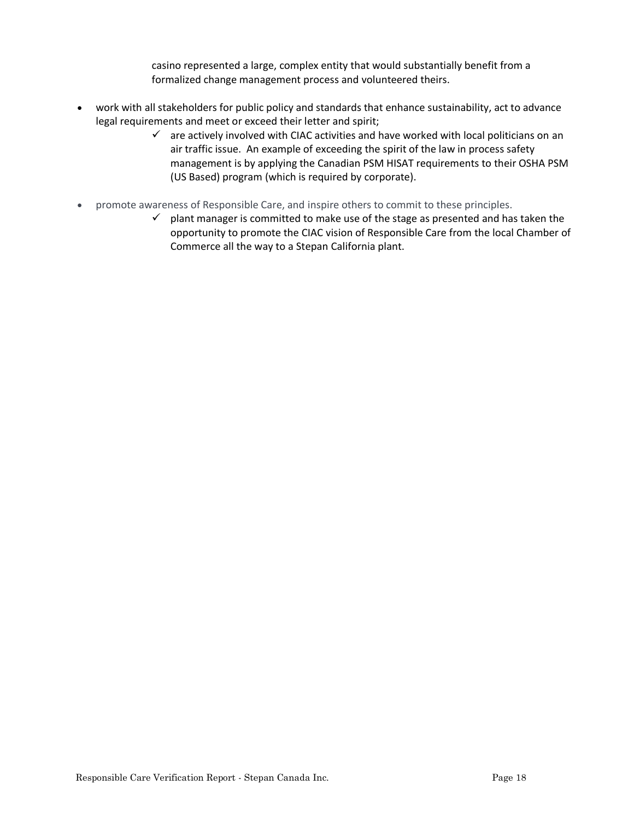casino represented a large, complex entity that would substantially benefit from a formalized change management process and volunteered theirs.

- work with all stakeholders for public policy and standards that enhance sustainability, act to advance legal requirements and meet or exceed their letter and spirit;
	- $\checkmark$  are actively involved with CIAC activities and have worked with local politicians on an air traffic issue. An example of exceeding the spirit of the law in process safety management is by applying the Canadian PSM HISAT requirements to their OSHA PSM (US Based) program (which is required by corporate).
- promote awareness of Responsible Care, and inspire others to commit to these principles.
	- $\checkmark$  plant manager is committed to make use of the stage as presented and has taken the opportunity to promote the CIAC vision of Responsible Care from the local Chamber of Commerce all the way to a Stepan California plant.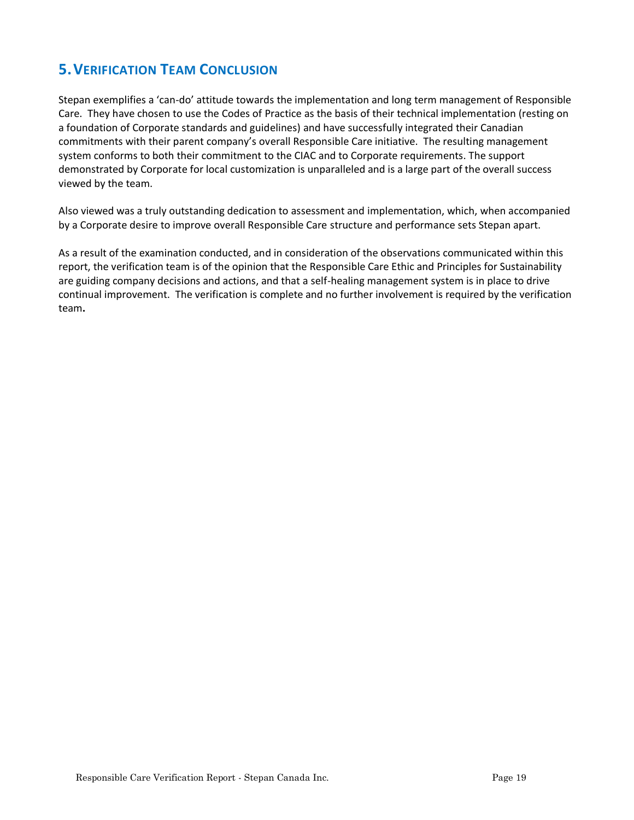## **5.VERIFICATION TEAM CONCLUSION**

Stepan exemplifies a 'can-do' attitude towards the implementation and long term management of Responsible Care. They have chosen to use the Codes of Practice as the basis of their technical implementation (resting on a foundation of Corporate standards and guidelines) and have successfully integrated their Canadian commitments with their parent company's overall Responsible Care initiative. The resulting management system conforms to both their commitment to the CIAC and to Corporate requirements. The support demonstrated by Corporate for local customization is unparalleled and is a large part of the overall success viewed by the team.

Also viewed was a truly outstanding dedication to assessment and implementation, which, when accompanied by a Corporate desire to improve overall Responsible Care structure and performance sets Stepan apart.

As a result of the examination conducted, and in consideration of the observations communicated within this report, the verification team is of the opinion that the Responsible Care Ethic and Principles for Sustainability are guiding company decisions and actions, and that a self-healing management system is in place to drive continual improvement. The verification is complete and no further involvement is required by the verification team**.**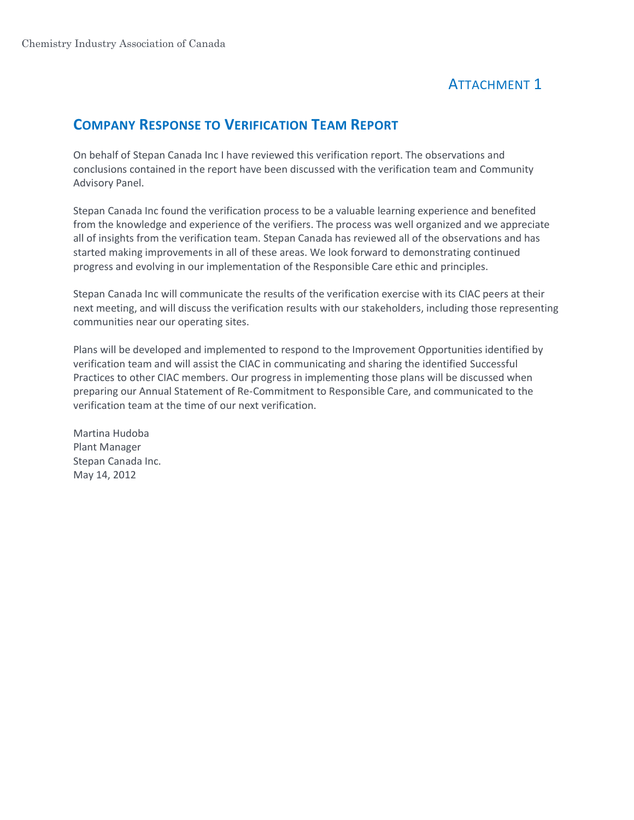# ATTACHMENT 1

## **COMPANY RESPONSE TO VERIFICATION TEAM REPORT**

On behalf of Stepan Canada Inc I have reviewed this verification report. The observations and conclusions contained in the report have been discussed with the verification team and Community Advisory Panel.

Stepan Canada Inc found the verification process to be a valuable learning experience and benefited from the knowledge and experience of the verifiers. The process was well organized and we appreciate all of insights from the verification team. Stepan Canada has reviewed all of the observations and has started making improvements in all of these areas. We look forward to demonstrating continued progress and evolving in our implementation of the Responsible Care ethic and principles.

Stepan Canada Inc will communicate the results of the verification exercise with its CIAC peers at their next meeting, and will discuss the verification results with our stakeholders, including those representing communities near our operating sites.

Plans will be developed and implemented to respond to the Improvement Opportunities identified by verification team and will assist the CIAC in communicating and sharing the identified Successful Practices to other CIAC members. Our progress in implementing those plans will be discussed when preparing our Annual Statement of Re-Commitment to Responsible Care, and communicated to the verification team at the time of our next verification.

Martina Hudoba Plant Manager Stepan Canada Inc. May 14, 2012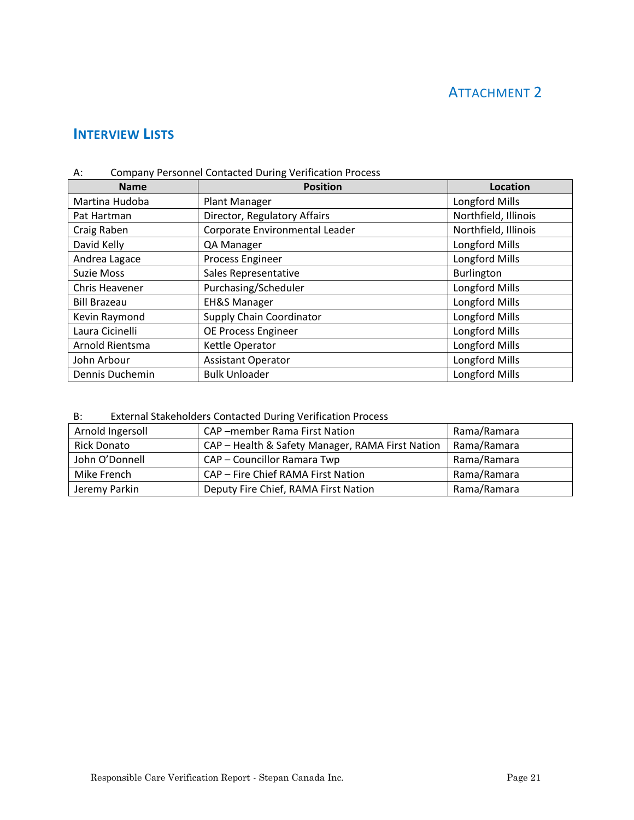# ATTACHMENT 2

## **INTERVIEW LISTS**

| A: | <b>Company Personnel Contacted During Verification Process</b> |  |  |
|----|----------------------------------------------------------------|--|--|
|----|----------------------------------------------------------------|--|--|

| <b>Name</b>           | <b>Position</b>                 | Location              |
|-----------------------|---------------------------------|-----------------------|
| Martina Hudoba        | <b>Plant Manager</b>            | <b>Longford Mills</b> |
| Pat Hartman           | Director, Regulatory Affairs    | Northfield, Illinois  |
| Craig Raben           | Corporate Environmental Leader  | Northfield, Illinois  |
| David Kelly           | QA Manager                      | <b>Longford Mills</b> |
| Andrea Lagace         | Process Engineer                | <b>Longford Mills</b> |
| <b>Suzie Moss</b>     | Sales Representative            | <b>Burlington</b>     |
| <b>Chris Heavener</b> | Purchasing/Scheduler            | <b>Longford Mills</b> |
| <b>Bill Brazeau</b>   | <b>EH&amp;S Manager</b>         | Longford Mills        |
| Kevin Raymond         | <b>Supply Chain Coordinator</b> | <b>Longford Mills</b> |
| Laura Cicinelli       | OE Process Engineer             | <b>Longford Mills</b> |
| Arnold Rientsma       | Kettle Operator                 | Longford Mills        |
| John Arbour           | <b>Assistant Operator</b>       | <b>Longford Mills</b> |
| Dennis Duchemin       | <b>Bulk Unloader</b>            | <b>Longford Mills</b> |

B: External Stakeholders Contacted During Verification Process

| Arnold Ingersoll   | CAP-member Rama First Nation                     | Rama/Ramara |
|--------------------|--------------------------------------------------|-------------|
| <b>Rick Donato</b> | CAP - Health & Safety Manager, RAMA First Nation | Rama/Ramara |
| John O'Donnell     | CAP - Councillor Ramara Twp                      | Rama/Ramara |
| Mike French        | CAP - Fire Chief RAMA First Nation               | Rama/Ramara |
| Jeremy Parkin      | Deputy Fire Chief, RAMA First Nation             | Rama/Ramara |